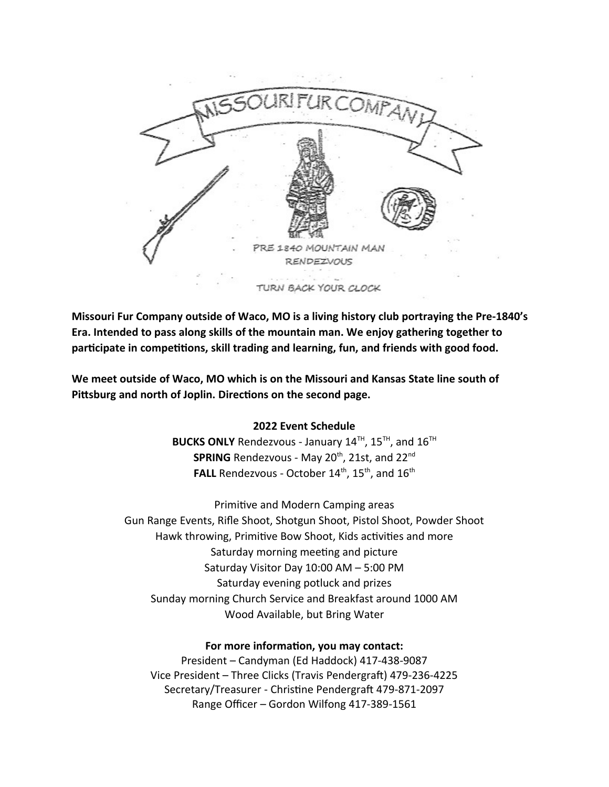

URN BACK YOUR CLOCK

**Missouri Fur Company outside of Waco, MO is a living history club portraying the Pre-1840's Era. Intended to pass along skills of the mountain man. We enjoy gathering together to participate in competitions, skill trading and learning, fun, and friends with good food.** 

**We meet outside of Waco, MO which is on the Missouri and Kansas State line south of Pittsburg and north of Joplin. Directions on the second page.**

#### **2022 Event Schedule**

**BUCKS ONLY** Rendezvous - January  $14^{TH}$ ,  $15^{TH}$ , and  $16^{TH}$ **SPRING** Rendezvous - May 20<sup>th</sup>, 21st, and 22<sup>nd</sup> FALL Rendezvous - October 14<sup>th</sup>, 15<sup>th</sup>, and 16<sup>th</sup>

Primitive and Modern Camping areas Gun Range Events, Rifle Shoot, Shotgun Shoot, Pistol Shoot, Powder Shoot Hawk throwing, Primitive Bow Shoot, Kids activities and more Saturday morning meeting and picture Saturday Visitor Day 10:00 AM – 5:00 PM Saturday evening potluck and prizes Sunday morning Church Service and Breakfast around 1000 AM Wood Available, but Bring Water

#### **For more information, you may contact:**

President – Candyman (Ed Haddock) 417-438-9087 Vice President – Three Clicks (Travis Pendergraft) 479-236-4225 Secretary/Treasurer - Christine Pendergraft 479-871-2097 Range Officer – Gordon Wilfong 417-389-1561